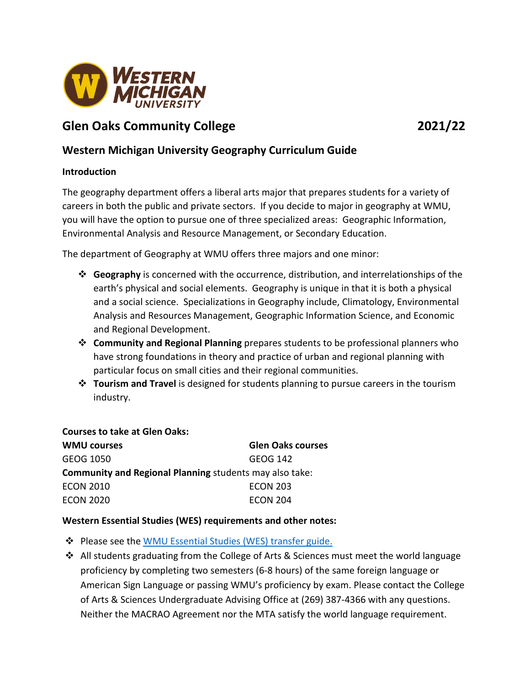

# **Glen Oaks Community College 2021/22**

## **Western Michigan University Geography Curriculum Guide**

### **Introduction**

The geography department offers a liberal arts major that prepares students for a variety of careers in both the public and private sectors. If you decide to major in geography at WMU, you will have the option to pursue one of three specialized areas: Geographic Information, Environmental Analysis and Resource Management, or Secondary Education.

The department of Geography at WMU offers three majors and one minor:

- **Geography** is concerned with the occurrence, distribution, and interrelationships of the earth's physical and social elements. Geography is unique in that it is both a physical and a social science. Specializations in Geography include, Climatology, Environmental Analysis and Resources Management, Geographic Information Science, and Economic and Regional Development.
- **Community and Regional Planning** prepares students to be professional planners who have strong foundations in theory and practice of urban and regional planning with particular focus on small cities and their regional communities.
- **Tourism and Travel** is designed for students planning to pursue careers in the tourism industry.

#### **Courses to take at Glen Oaks:**

| <b>WMU courses</b>                                             | <b>Glen Oaks courses</b> |
|----------------------------------------------------------------|--------------------------|
| GEOG 1050                                                      | GEOG 142                 |
| <b>Community and Regional Planning students may also take:</b> |                          |
| <b>ECON 2010</b>                                               | <b>ECON 203</b>          |
| <b>ECON 2020</b>                                               | <b>ECON 204</b>          |

## **Western Essential Studies (WES) requirements and other notes:**

- ◆ Please see the [WMU Essential Studies \(WES\) transfer guide.](https://wmich.edu/admissions/transfer/guides/GOCC)
- All students graduating from the College of Arts & Sciences must meet the world language proficiency by completing two semesters (6-8 hours) of the same foreign language or American Sign Language or passing WMU's proficiency by exam. Please contact the College of Arts & Sciences Undergraduate Advising Office at (269) 387-4366 with any questions. Neither the MACRAO Agreement nor the MTA satisfy the world language requirement.